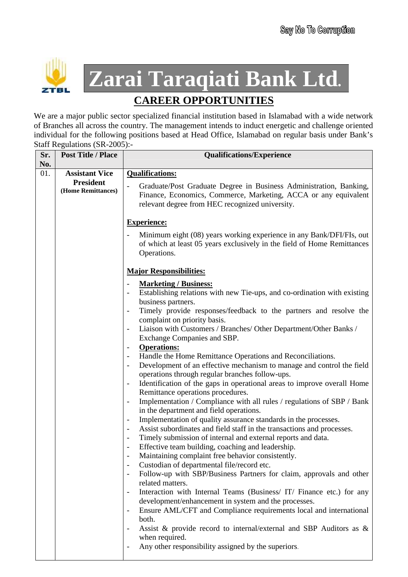

**Zarai Taraqiati Bank Ltd.**

## **CAREER OPPORTUNITIES**

We are a major public sector specialized financial institution based in Islamabad with a wide network of Branches all across the country. The management intends to induct energetic and challenge oriented individual for the following positions based at Head Office, Islamabad on regular basis under Bank's Staff Regulations (SR-2005):-

| Sr. | <b>Post Title / Place</b>              | <b>Qualifications/Experience</b>                                                                                                                                                                           |
|-----|----------------------------------------|------------------------------------------------------------------------------------------------------------------------------------------------------------------------------------------------------------|
| No. |                                        |                                                                                                                                                                                                            |
| 01. | <b>Assistant Vice</b>                  | <b>Qualifications:</b>                                                                                                                                                                                     |
|     | <b>President</b><br>(Home Remittances) | Graduate/Post Graduate Degree in Business Administration, Banking,<br>$\overline{a}$<br>Finance, Economics, Commerce, Marketing, ACCA or any equivalent<br>relevant degree from HEC recognized university. |
|     |                                        | <b>Experience:</b>                                                                                                                                                                                         |
|     |                                        | Minimum eight (08) years working experience in any Bank/DFI/FIs, out<br>of which at least 05 years exclusively in the field of Home Remittances<br>Operations.                                             |
|     |                                        | <b>Major Responsibilities:</b>                                                                                                                                                                             |
|     |                                        | <b>Marketing / Business:</b>                                                                                                                                                                               |
|     |                                        | Establishing relations with new Tie-ups, and co-ordination with existing<br>business partners.                                                                                                             |
|     |                                        | Timely provide responses/feedback to the partners and resolve the<br>complaint on priority basis.                                                                                                          |
|     |                                        | Liaison with Customers / Branches/ Other Department/Other Banks /                                                                                                                                          |
|     |                                        | Exchange Companies and SBP.                                                                                                                                                                                |
|     |                                        | <b>Operations:</b><br>$\blacksquare$                                                                                                                                                                       |
|     |                                        | Handle the Home Remittance Operations and Reconciliations.<br>Development of an effective mechanism to manage and control the field                                                                        |
|     |                                        | operations through regular branches follow-ups.                                                                                                                                                            |
|     |                                        | Identification of the gaps in operational areas to improve overall Home                                                                                                                                    |
|     |                                        | Remittance operations procedures.                                                                                                                                                                          |
|     |                                        | Implementation / Compliance with all rules / regulations of SBP / Bank<br>$\blacksquare$<br>in the department and field operations.                                                                        |
|     |                                        | Implementation of quality assurance standards in the processes.<br>$\blacksquare$                                                                                                                          |
|     |                                        | Assist subordinates and field staff in the transactions and processes.<br>$\blacksquare$                                                                                                                   |
|     |                                        | Timely submission of internal and external reports and data.<br>$\blacksquare$                                                                                                                             |
|     |                                        | Effective team building, coaching and leadership.                                                                                                                                                          |
|     |                                        | Maintaining complaint free behavior consistently.                                                                                                                                                          |
|     |                                        | Custodian of departmental file/record etc.                                                                                                                                                                 |
|     |                                        | Follow-up with SBP/Business Partners for claim, approvals and other<br>$\blacksquare$<br>related matters.                                                                                                  |
|     |                                        | Interaction with Internal Teams (Business/ IT/ Finance etc.) for any<br>$\overline{\phantom{a}}$                                                                                                           |
|     |                                        | development/enhancement in system and the processes.                                                                                                                                                       |
|     |                                        | Ensure AML/CFT and Compliance requirements local and international                                                                                                                                         |
|     |                                        | both.<br>Assist & provide record to internal/external and SBP Auditors as &<br>$\blacksquare$                                                                                                              |
|     |                                        | when required.                                                                                                                                                                                             |
|     |                                        | Any other responsibility assigned by the superiors.                                                                                                                                                        |
|     |                                        |                                                                                                                                                                                                            |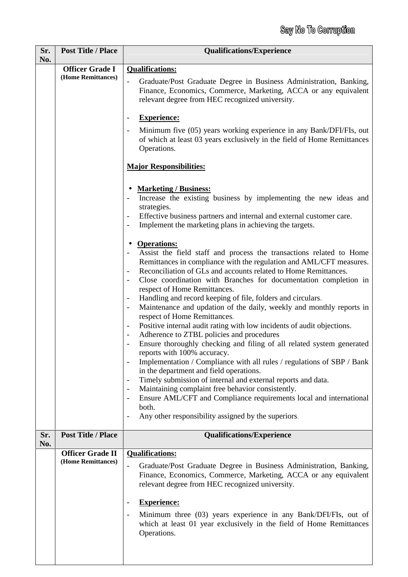| Sr.<br>No. | <b>Post Title / Place</b>                    | <b>Qualifications/Experience</b>                                                                                                                                                                           |
|------------|----------------------------------------------|------------------------------------------------------------------------------------------------------------------------------------------------------------------------------------------------------------|
|            | <b>Officer Grade I</b><br>(Home Remittances) | <b>Qualifications:</b><br>Graduate/Post Graduate Degree in Business Administration, Banking,<br>$\overline{\phantom{0}}$                                                                                   |
|            |                                              | Finance, Economics, Commerce, Marketing, ACCA or any equivalent<br>relevant degree from HEC recognized university.                                                                                         |
|            |                                              | <b>Experience:</b><br>$\overline{\phantom{a}}$                                                                                                                                                             |
|            |                                              | Minimum five (05) years working experience in any Bank/DFI/FIs, out<br>$\blacksquare$<br>of which at least 03 years exclusively in the field of Home Remittances<br>Operations.                            |
|            |                                              | <b>Major Responsibilities:</b>                                                                                                                                                                             |
|            |                                              | <b>Marketing / Business:</b><br>Increase the existing business by implementing the new ideas and<br>strategies.                                                                                            |
|            |                                              | Effective business partners and internal and external customer care.<br>$\qquad \qquad \blacksquare$<br>Implement the marketing plans in achieving the targets.<br>$\blacksquare$                          |
|            |                                              | <b>Operations:</b>                                                                                                                                                                                         |
|            |                                              | Assist the field staff and process the transactions related to Home<br>$\qquad \qquad \blacksquare$<br>Remittances in compliance with the regulation and AML/CFT measures.                                 |
|            |                                              | Reconciliation of GLs and accounts related to Home Remittances.<br>Close coordination with Branches for documentation completion in<br>respect of Home Remittances.                                        |
|            |                                              | Handling and record keeping of file, folders and circulars.<br>$\overline{\phantom{a}}$                                                                                                                    |
|            |                                              | Maintenance and updation of the daily, weekly and monthly reports in<br>$\overline{\phantom{a}}$<br>respect of Home Remittances.                                                                           |
|            |                                              | Positive internal audit rating with low incidents of audit objections.<br>$\blacksquare$<br>Adherence to ZTBL policies and procedures                                                                      |
|            |                                              | $\qquad \qquad \blacksquare$<br>Ensure thoroughly checking and filing of all related system generated<br>$\overline{\phantom{a}}$<br>reports with 100% accuracy.                                           |
|            |                                              | Implementation / Compliance with all rules / regulations of SBP / Bank                                                                                                                                     |
|            |                                              | in the department and field operations.<br>Timely submission of internal and external reports and data.<br>$\overline{\phantom{a}}$                                                                        |
|            |                                              | Maintaining complaint free behavior consistently.<br>$\blacksquare$<br>Ensure AML/CFT and Compliance requirements local and international                                                                  |
|            |                                              | both.                                                                                                                                                                                                      |
|            |                                              | Any other responsibility assigned by the superiors.                                                                                                                                                        |
| Sr.<br>No. | <b>Post Title / Place</b>                    | <b>Qualifications/Experience</b>                                                                                                                                                                           |
|            | <b>Officer Grade II</b>                      | <b>Qualifications:</b>                                                                                                                                                                                     |
|            | (Home Remittances)                           | Graduate/Post Graduate Degree in Business Administration, Banking,<br>$\overline{a}$<br>Finance, Economics, Commerce, Marketing, ACCA or any equivalent<br>relevant degree from HEC recognized university. |
|            |                                              | <b>Experience:</b><br>$\qquad \qquad$                                                                                                                                                                      |
|            |                                              | Minimum three (03) years experience in any Bank/DFI/FIs, out of<br>$\blacksquare$<br>which at least 01 year exclusively in the field of Home Remittances<br>Operations.                                    |
|            |                                              |                                                                                                                                                                                                            |